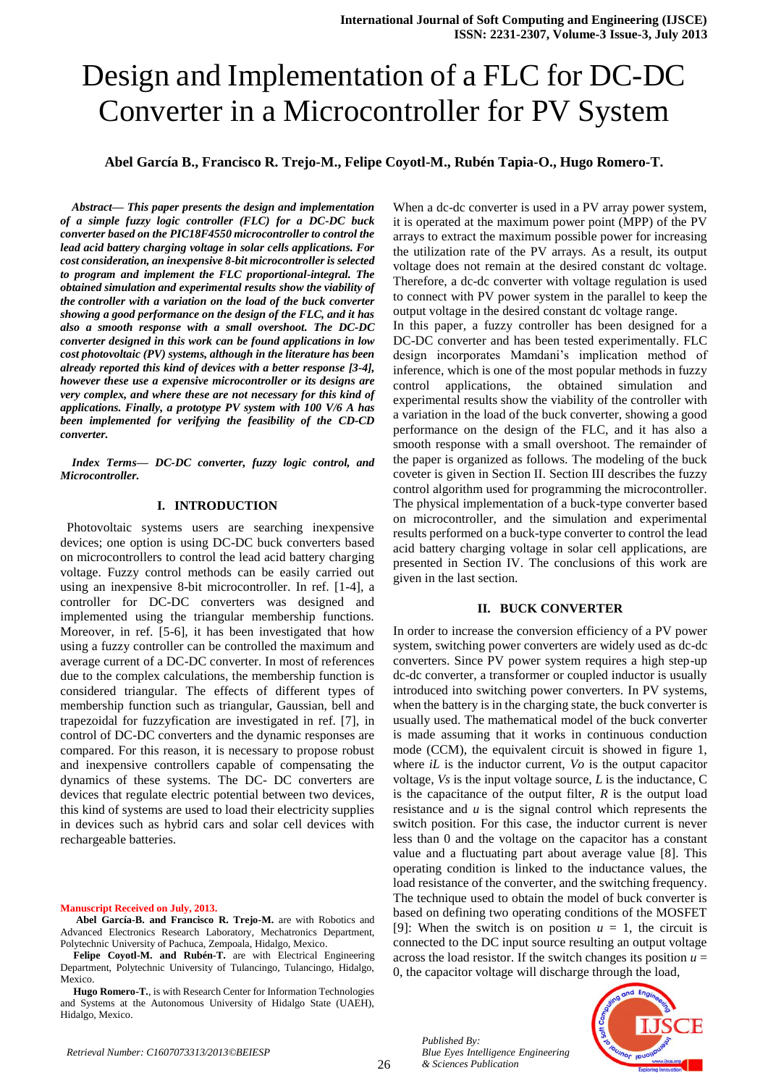# Design and Implementation of a FLC for DC-DC Converter in a Microcontroller for PV System

# **Abel García B., Francisco R. Trejo-M., Felipe Coyotl-M., Rubén Tapia-O., Hugo Romero-T.**

*Abstract— This paper presents the design and implementation of a simple fuzzy logic controller (FLC) for a DC-DC buck converter based on the PIC18F4550 microcontroller to control the lead acid battery charging voltage in solar cells applications. For cost consideration, an inexpensive 8-bit microcontroller is selected to program and implement the FLC proportional-integral. The obtained simulation and experimental results show the viability of the controller with a variation on the load of the buck converter showing a good performance on the design of the FLC, and it has also a smooth response with a small overshoot. The DC-DC converter designed in this work can be found applications in low cost photovoltaic (PV) systems, although in the literature has been already reported this kind of devices with a better response [3-4], however these use a expensive microcontroller or its designs are very complex, and where these are not necessary for this kind of applications. Finally, a prototype PV system with 100 V/6 A has been implemented for verifying the feasibility of the CD-CD converter.*

*Index Terms— DC-DC converter, fuzzy logic control, and Microcontroller.* 

# **I. INTRODUCTION**

 Photovoltaic systems users are searching inexpensive devices; one option is using DC-DC buck converters based on microcontrollers to control the lead acid battery charging voltage. Fuzzy control methods can be easily carried out using an inexpensive 8-bit microcontroller. In ref. [1-4], a controller for DC-DC converters was designed and implemented using the triangular membership functions. Moreover, in ref. [5-6], it has been investigated that how using a fuzzy controller can be controlled the maximum and average current of a DC-DC converter. In most of references due to the complex calculations, the membership function is considered triangular. The effects of different types of membership function such as triangular, Gaussian, bell and trapezoidal for fuzzyfication are investigated in ref. [7], in control of DC-DC converters and the dynamic responses are compared. For this reason, it is necessary to propose robust and inexpensive controllers capable of compensating the dynamics of these systems. The DC- DC converters are devices that regulate electric potential between two devices, this kind of systems are used to load their electricity supplies in devices such as hybrid cars and solar cell devices with rechargeable batteries.

#### **Manuscript Received on July, 2013.**

**Abel García-B. and Francisco R. Trejo-M.** are with Robotics and Advanced Electronics Research Laboratory, Mechatronics Department, Polytechnic University of Pachuca, Zempoala, Hidalgo, Mexico.

**Felipe Coyotl-M. and Rubén-T.** are with Electrical Engineering Department, Polytechnic University of Tulancingo, Tulancingo, Hidalgo, Mexico.

**Hugo Romero-T.**, is with Research Center for Information Technologies and Systems at the Autonomous University of Hidalgo State (UAEH), Hidalgo, Mexico.

When a dc-dc converter is used in a PV array power system, it is operated at the maximum power point (MPP) of the PV arrays to extract the maximum possible power for increasing the utilization rate of the PV arrays. As a result, its output voltage does not remain at the desired constant dc voltage. Therefore, a dc-dc converter with voltage regulation is used to connect with PV power system in the parallel to keep the output voltage in the desired constant dc voltage range.

In this paper, a fuzzy controller has been designed for a DC-DC converter and has been tested experimentally. FLC design incorporates Mamdani's implication method of inference, which is one of the most popular methods in fuzzy control applications, the obtained simulation and experimental results show the viability of the controller with a variation in the load of the buck converter, showing a good performance on the design of the FLC, and it has also a smooth response with a small overshoot. The remainder of the paper is organized as follows. The modeling of the buck coveter is given in Section II. Section III describes the fuzzy control algorithm used for programming the microcontroller. The physical implementation of a buck-type converter based on microcontroller, and the simulation and experimental results performed on a buck-type converter to control the lead acid battery charging voltage in solar cell applications, are presented in Section IV. The conclusions of this work are given in the last section.

# **II. BUCK CONVERTER**

In order to increase the conversion efficiency of a PV power system, switching power converters are widely used as dc-dc converters. Since PV power system requires a high step-up dc-dc converter, a transformer or coupled inductor is usually introduced into switching power converters. In PV systems, when the battery is in the charging state, the buck converter is usually used. The mathematical model of the buck converter is made assuming that it works in continuous conduction mode (CCM), the equivalent circuit is showed in figure 1, where *iL* is the inductor current, *Vo* is the output capacitor voltage, *Vs* is the input voltage source, *L* is the inductance, C is the capacitance of the output filter, *R* is the output load resistance and *u* is the signal control which represents the switch position. For this case, the inductor current is never less than 0 and the voltage on the capacitor has a constant value and a fluctuating part about average value [8]. This operating condition is linked to the inductance values, the load resistance of the converter, and the switching frequency. The technique used to obtain the model of buck converter is based on defining two operating conditions of the MOSFET [9]: When the switch is on position  $u = 1$ , the circuit is connected to the DC input source resulting an output voltage across the load resistor. If the switch changes its position  $u =$ 0, the capacitor voltage will discharge through the load,



*Published By:*

*& Sciences Publication* 

*Blue Eyes Intelligence Engineering*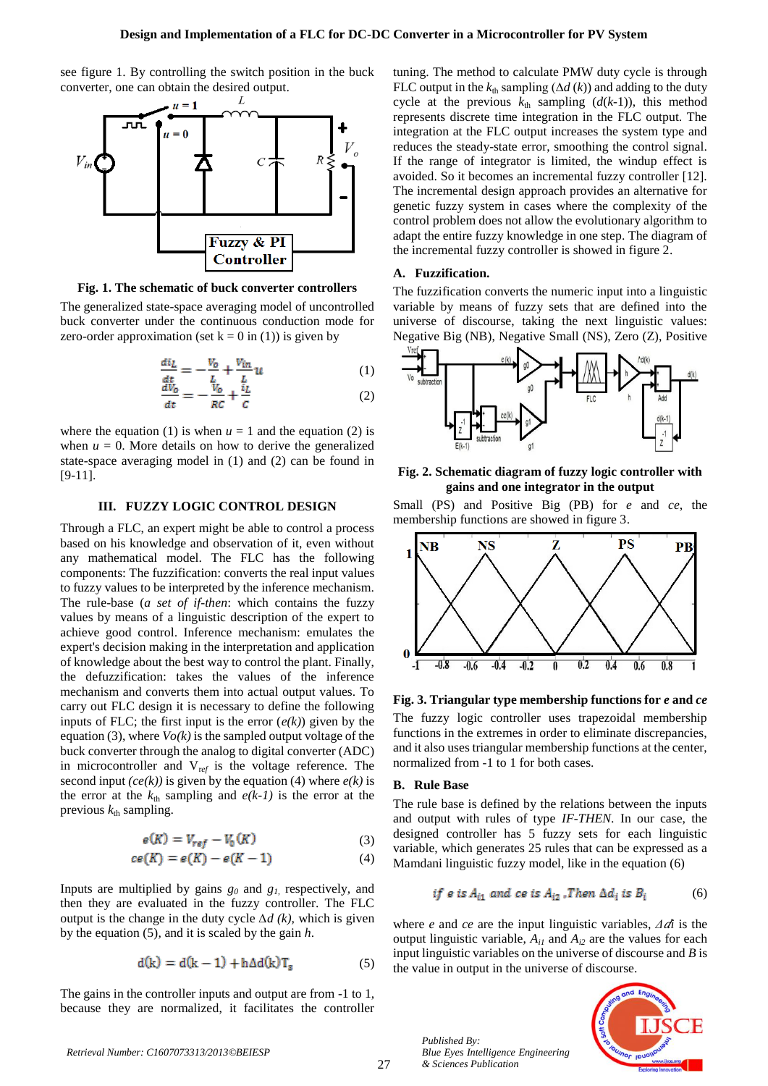see figure 1. By controlling the switch position in the buck converter, one can obtain the desired output.



**Fig. 1. The schematic of buck converter controllers**

The generalized state-space averaging model of uncontrolled buck converter under the continuous conduction mode for zero-order approximation (set  $k = 0$  in (1)) is given by

$$
\frac{di_L}{dt} = -\frac{V_0}{L} + \frac{V_{in}}{L}u\tag{1}
$$

$$
\frac{dV_0}{dt} = -\frac{V_0}{RC} + \frac{iL}{C}
$$
 (2)

where the equation (1) is when  $u = 1$  and the equation (2) is when  $u = 0$ . More details on how to derive the generalized state-space averaging model in (1) and (2) can be found in [9-11].

#### **III. FUZZY LOGIC CONTROL DESIGN**

Through a FLC, an expert might be able to control a process based on his knowledge and observation of it, even without any mathematical model. The FLC has the following components: The fuzzification: converts the real input values to fuzzy values to be interpreted by the inference mechanism. The rule-base (*a set of if-then*: which contains the fuzzy values by means of a linguistic description of the expert to achieve good control. Inference mechanism: emulates the expert's decision making in the interpretation and application of knowledge about the best way to control the plant. Finally, the defuzzification: takes the values of the inference mechanism and converts them into actual output values. To carry out FLC design it is necessary to define the following inputs of FLC; the first input is the error  $(e(k))$  given by the equation (3), where  $Vo(k)$  is the sampled output voltage of the buck converter through the analog to digital converter (ADC) in microcontroller and  $V_{ref}$  is the voltage reference. The second input  $(ce(k))$  is given by the equation (4) where  $e(k)$  is the error at the  $k_{th}$  sampling and  $e(k-1)$  is the error at the previous  $k_{th}$  sampling.

$$
e(K) = V_{ref} - V_0(K) \tag{3}
$$

$$
ce(K) = e(K) - e(K - 1) \tag{4}
$$

Inputs are multiplied by gains *g<sup>0</sup>* and *g1*, respectively, and then they are evaluated in the fuzzy controller. The FLC output is the change in the duty cycle *∆d (k),* which is given by the equation (5)*,* and it is scaled by the gain *h*.

$$
d(k) = d(k-1) + h\Delta d(k)T_s \tag{5}
$$

The gains in the controller inputs and output are from -1 to 1, because they are normalized, it facilitates the controller

tuning. The method to calculate PMW duty cycle is through FLC output in the  $k_{\text{th}}$  sampling ( $\Delta d$  (*k*)) and adding to the duty cycle at the previous  $k_{th}$  sampling  $(d(k-1))$ , this method represents discrete time integration in the FLC output. The integration at the FLC output increases the system type and reduces the steady-state error, smoothing the control signal. If the range of integrator is limited, the windup effect is avoided. So it becomes an incremental fuzzy controller [12]. The incremental design approach provides an alternative for genetic fuzzy system in cases where the complexity of the control problem does not allow the evolutionary algorithm to adapt the entire fuzzy knowledge in one step. The diagram of the incremental fuzzy controller is showed in figure 2.

#### **A. Fuzzification.**

The fuzzification converts the numeric input into a linguistic variable by means of fuzzy sets that are defined into the universe of discourse, taking the next linguistic values: Negative Big (NB), Negative Small (NS), Zero (Z), Positive



**Fig. 2. Schematic diagram of fuzzy logic controller with gains and one integrator in the output**

Small (PS) and Positive Big (PB) for *e* and *ce*, the membership functions are showed in figure 3.



**Fig. 3. Triangular type membership functions for** *e* **and** *ce* The fuzzy logic controller uses trapezoidal membership functions in the extremes in order to eliminate discrepancies, and it also uses triangular membership functions at the center, normalized from -1 to 1 for both cases.

#### **B. Rule Base**

*Published By:*

*& Sciences Publication* 

*Blue Eyes Intelligence Engineering* 

The rule base is defined by the relations between the inputs and output with rules of type *IF-THEN*. In our case, the designed controller has 5 fuzzy sets for each linguistic variable, which generates 25 rules that can be expressed as a Mamdani linguistic fuzzy model, like in the equation (6)

if *e* is 
$$
A_{i1}
$$
 and ce is  $A_{i2}$ , Then  $\Delta d_i$  is  $B_i$  (6)

where *e* and *ce* are the input linguistic variables, *Δi* is the output linguistic variable,  $A_{i1}$  and  $A_{i2}$  are the values for each input linguistic variables on the universe of discourse and *B* is the value in output in the universe of discourse.



 $\mathbb{R}^2$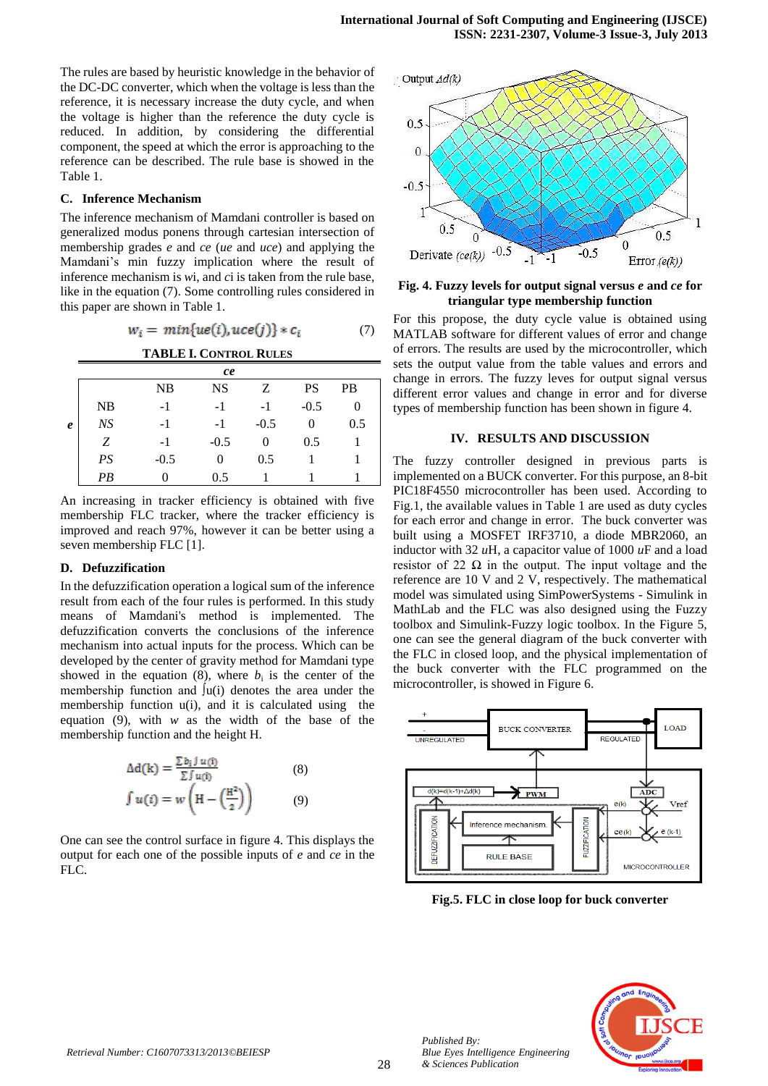The rules are based by heuristic knowledge in the behavior of the DC-DC converter, which when the voltage is less than the reference, it is necessary increase the duty cycle, and when the voltage is higher than the reference the duty cycle is reduced. In addition, by considering the differential component, the speed at which the error is approaching to the reference can be described. The rule base is showed in the Table 1.

#### **C. Inference Mechanism**

The inference mechanism of Mamdani controller is based on generalized modus ponens through cartesian intersection of membership grades *e* and *ce* (*ue* and *uce*) and applying the Mamdani's min fuzzy implication where the result of inference mechanism is *w*i, and *c*i is taken from the rule base, like in the equation (7). Some controlling rules considered in this paper are shown in Table 1.

$$
w_i = min\{ue(i), uce(j)\} * c_i \tag{7}
$$

**TABLE I. CONTROL RULES**

| ce |    |        |           |          |           |     |
|----|----|--------|-----------|----------|-----------|-----|
|    |    | NB     | <b>NS</b> | Z        | <b>PS</b> | PB  |
|    | NB | $-1$   | $-1$      | $-1$     | $-0.5$    |     |
| e  | NS | $-1$   | $-1$      | $-0.5$   | 0         | 0.5 |
|    | Z  | $-1$   | $-0.5$    | $\Omega$ | 0.5       |     |
|    | PS | $-0.5$ | 0         | 0.5      |           |     |
|    | PB |        | 0.5       |          |           |     |

An increasing in tracker efficiency is obtained with five membership FLC tracker, where the tracker efficiency is improved and reach 97%, however it can be better using a seven membership FLC [1].

#### **D. Defuzzification**

In the defuzzification operation a logical sum of the inference result from each of the four rules is performed. In this study means of Mamdani's method is implemented. The defuzzification converts the conclusions of the inference mechanism into actual inputs for the process. Which can be developed by the center of gravity method for Mamdani type showed in the equation  $(8)$ , where  $b_i$  is the center of the membership function and ∫u(i) denotes the area under the membership function  $u(i)$ , and it is calculated using the equation (9), with *w* as the width of the base of the membership function and the height H.

$$
\Delta d(k) = \frac{\sum b_i J u(i)}{\sum f u(i)}
$$
(8)  

$$
\int u(i) = w \left( H - \left( \frac{H^2}{2} \right) \right)
$$
(9)

One can see the control surface in figure 4. This displays the output for each one of the possible inputs of *e* and *ce* in the FLC.



#### **Fig. 4. Fuzzy levels for output signal versus** *e* **and** *ce* **for triangular type membership function**

For this propose, the duty cycle value is obtained using MATLAB software for different values of error and change of errors. The results are used by the microcontroller, which sets the output value from the table values and errors and change in errors. The fuzzy leves for output signal versus different error values and change in error and for diverse types of membership function has been shown in figure 4.

#### **IV. RESULTS AND DISCUSSION**

The fuzzy controller designed in previous parts is implemented on a BUCK converter. For this purpose, an 8-bit PIC18F4550 microcontroller has been used. According to Fig.1, the available values in Table 1 are used as duty cycles for each error and change in error. The buck converter was built using a MOSFET IRF3710, a diode MBR2060, an inductor with 32 *u*H, a capacitor value of 1000 *u*F and a load resistor of 22  $\Omega$  in the output. The input voltage and the reference are 10 V and 2 V, respectively. The mathematical model was simulated using SimPowerSystems - Simulink in MathLab and the FLC was also designed using the Fuzzy toolbox and Simulink-Fuzzy logic toolbox. In the Figure 5, one can see the general diagram of the buck converter with the FLC in closed loop, and the physical implementation of the buck converter with the FLC programmed on the microcontroller, is showed in Figure 6.



**Fig.5. FLC in close loop for buck converter**



*Published By:*

*& Sciences Publication* 

*Blue Eyes Intelligence Engineering*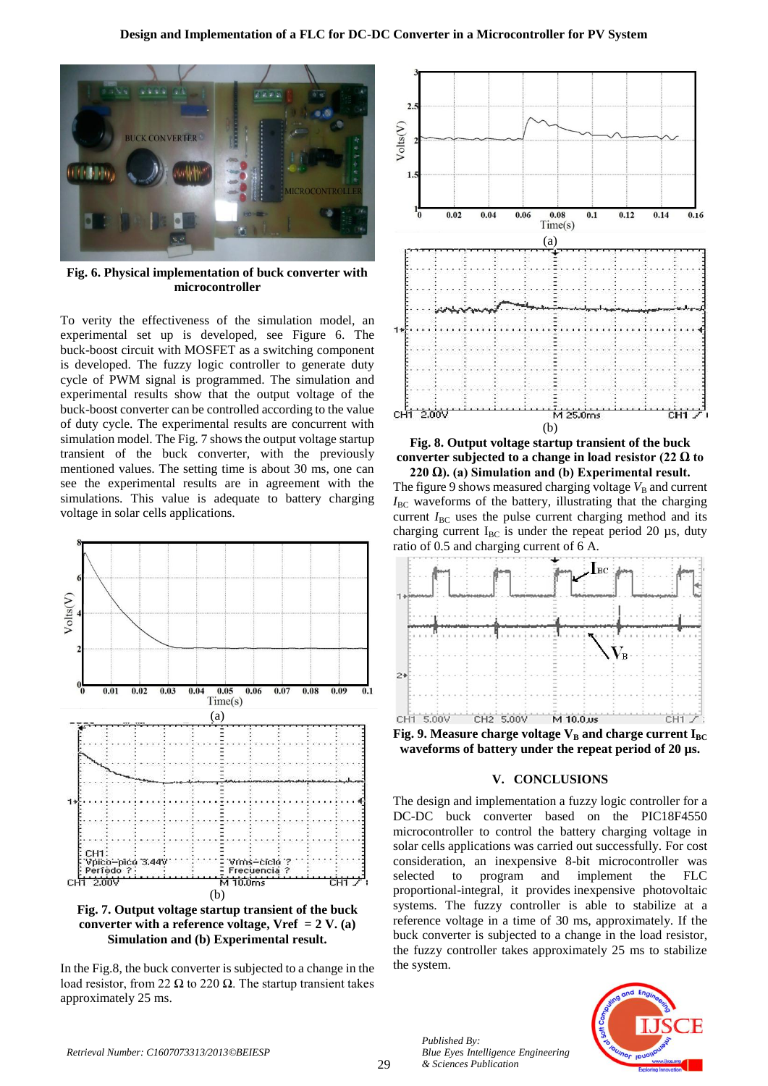

**Fig. 6. Physical implementation of buck converter with microcontroller**

To verity the effectiveness of the simulation model, an experimental set up is developed, see Figure 6. The buck-boost circuit with MOSFET as a switching component is developed. The fuzzy logic controller to generate duty cycle of PWM signal is programmed. The simulation and experimental results show that the output voltage of the buck-boost converter can be controlled according to the value of duty cycle. The experimental results are concurrent with simulation model. The Fig. 7 shows the output voltage startup transient of the buck converter, with the previously mentioned values. The setting time is about 30 ms, one can see the experimental results are in agreement with the simulations. This value is adequate to battery charging voltage in solar cells applications.



**Fig. 7. Output voltage startup transient of the buck converter with a reference voltage, Vref = 2 V. (a) Simulation and (b) Experimental result.**

In the Fig.8, the buck converter is subjected to a change in the load resistor, from 22 Ω to 220 Ω. The startup transient takes approximately 25 ms.



**Fig. 8. Output voltage startup transient of the buck converter subjected to a change in load resistor (22 Ω to 220 Ω). (a) Simulation and (b) Experimental result.**

The figure 9 shows measured charging voltage  $V_B$  and current  $I_{BC}$  waveforms of the battery, illustrating that the charging current  $I_{BC}$  uses the pulse current charging method and its charging current  $I_{BC}$  is under the repeat period 20 µs, duty ratio of 0.5 and charging current of 6 A.



**waveforms of battery under the repeat period of 20 µs.**

# **V. CONCLUSIONS**

The design and implementation a fuzzy logic controller for a DC-DC buck converter based on the PIC18F4550 microcontroller to control the battery charging voltage in solar cells applications was carried out successfully. For cost consideration, an inexpensive 8-bit microcontroller was selected to program and implement the FLC proportional-integral, it provides inexpensive photovoltaic systems. The fuzzy controller is able to stabilize at a reference voltage in a time of 30 ms, approximately. If the buck converter is subjected to a change in the load resistor, the fuzzy controller takes approximately 25 ms to stabilize the system.